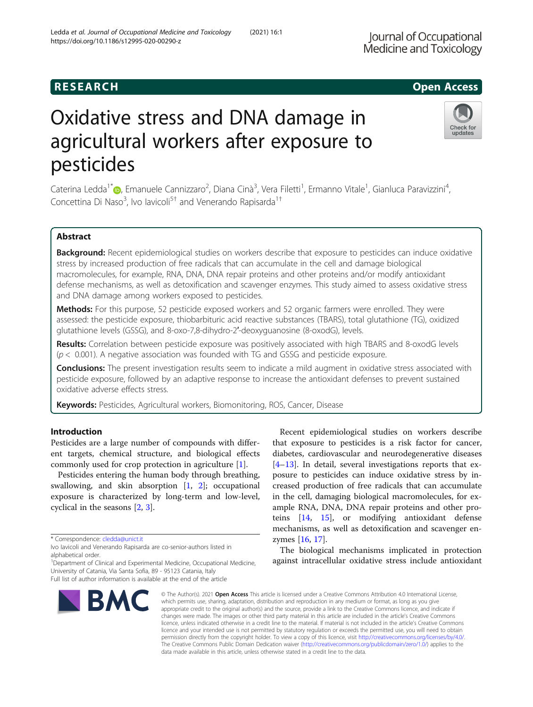# R E S EAR CH Open Access

# Oxidative stress and DNA damage in agricultural workers after exposure to pesticides

Caterina Ledda<sup>1[\\*](http://orcid.org/0000-0003-0739-8798)</sup>®, Emanuele Cannizzaro<sup>2</sup>, Diana Cinà<sup>3</sup>, Vera Filetti<sup>1</sup>, Ermanno Vitale<sup>1</sup>, Gianluca Paravizzini<sup>4</sup> , Concettina Di Naso<sup>3</sup>, Ivo lavicoli<sup>5†</sup> and Venerando Rapisarda<sup>1†</sup>

# Abstract

Background: Recent epidemiological studies on workers describe that exposure to pesticides can induce oxidative stress by increased production of free radicals that can accumulate in the cell and damage biological macromolecules, for example, RNA, DNA, DNA repair proteins and other proteins and/or modify antioxidant defense mechanisms, as well as detoxification and scavenger enzymes. This study aimed to assess oxidative stress and DNA damage among workers exposed to pesticides.

Methods: For this purpose, 52 pesticide exposed workers and 52 organic farmers were enrolled. They were assessed: the pesticide exposure, thiobarbituric acid reactive substances (TBARS), total glutathione (TG), oxidized glutathione levels (GSSG), and 8-oxo-7,8-dihydro-2′-deoxyguanosine (8-oxodG), levels.

Results: Correlation between pesticide exposure was positively associated with high TBARS and 8-oxodG levels  $(p < 0.001)$ . A negative association was founded with TG and GSSG and pesticide exposure.

**Conclusions:** The present investigation results seem to indicate a mild augment in oxidative stress associated with pesticide exposure, followed by an adaptive response to increase the antioxidant defenses to prevent sustained oxidative adverse effects stress.

Keywords: Pesticides, Agricultural workers, Biomonitoring, ROS, Cancer, Disease

# Introduction

Pesticides are a large number of compounds with different targets, chemical structure, and biological effects commonly used for crop protection in agriculture [[1\]](#page-5-0).

Pesticides entering the human body through breathing, swallowing, and skin absorption [\[1](#page-5-0), [2\]](#page-5-0); occupational exposure is characterized by long-term and low-level, cyclical in the seasons [[2,](#page-5-0) [3\]](#page-5-0).

\* Correspondence: [cledda@unict.it](mailto:cledda@unict.it)

Full list of author information is available at the end of the article

BMC

which permits use, sharing, adaptation, distribution and reproduction in any medium or format, as long as you give appropriate credit to the original author(s) and the source, provide a link to the Creative Commons licence, and indicate if changes were made. The images or other third party material in this article are included in the article's Creative Commons licence, unless indicated otherwise in a credit line to the material. If material is not included in the article's Creative Commons licence and your intended use is not permitted by statutory regulation or exceeds the permitted use, you will need to obtain permission directly from the copyright holder. To view a copy of this licence, visit [http://creativecommons.org/licenses/by/4.0/.](http://creativecommons.org/licenses/by/4.0/) The Creative Commons Public Domain Dedication waiver [\(http://creativecommons.org/publicdomain/zero/1.0/](http://creativecommons.org/publicdomain/zero/1.0/)) applies to the data made available in this article, unless otherwise stated in a credit line to the data.

© The Author(s), 2021 **Open Access** This article is licensed under a Creative Commons Attribution 4.0 International License,

Recent epidemiological studies on workers describe that exposure to pesticides is a risk factor for cancer, diabetes, cardiovascular and neurodegenerative diseases [[4](#page-5-0)–[13\]](#page-5-0). In detail, several investigations reports that exposure to pesticides can induce oxidative stress by increased production of free radicals that can accumulate in the cell, damaging biological macromolecules, for example RNA, DNA, DNA repair proteins and other proteins [[14,](#page-5-0) [15](#page-5-0)], or modifying antioxidant defense mechanisms, as well as detoxification and scavenger enzymes [[16,](#page-5-0) [17\]](#page-5-0).

The biological mechanisms implicated in protection against intracellular oxidative stress include antioxidant





updates

Ivo Iavicoli and Venerando Rapisarda are co-senior-authors listed in alphabetical order.

University of Catania, Via Santa Sofia, 89 - 95123 Catania, Italy

<sup>&</sup>lt;sup>1</sup>Department of Clinical and Experimental Medicine, Occupational Medicine,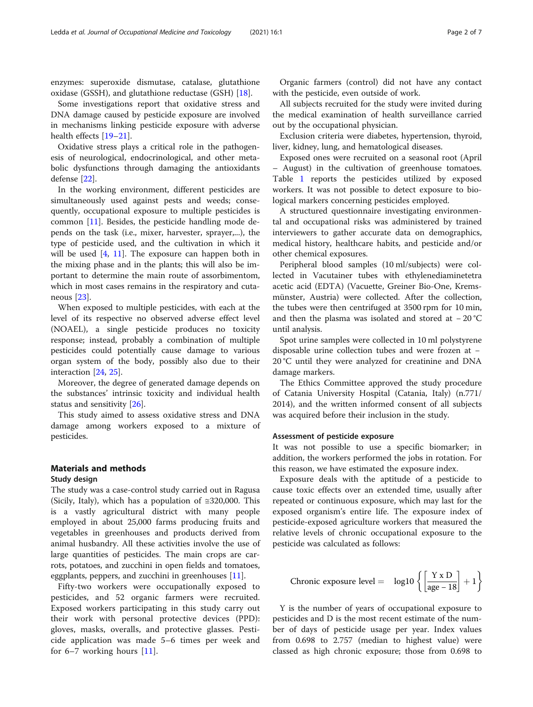enzymes: superoxide dismutase, catalase, glutathione oxidase (GSSH), and glutathione reductase (GSH) [\[18](#page-5-0)].

Some investigations report that oxidative stress and DNA damage caused by pesticide exposure are involved in mechanisms linking pesticide exposure with adverse health effects [[19](#page-5-0)–[21](#page-5-0)].

Oxidative stress plays a critical role in the pathogenesis of neurological, endocrinological, and other metabolic dysfunctions through damaging the antioxidants defense [\[22](#page-5-0)].

In the working environment, different pesticides are simultaneously used against pests and weeds; consequently, occupational exposure to multiple pesticides is common [\[11\]](#page-5-0). Besides, the pesticide handling mode depends on the task (i.e., mixer, harvester, sprayer,...), the type of pesticide used, and the cultivation in which it will be used [\[4](#page-5-0), [11](#page-5-0)]. The exposure can happen both in the mixing phase and in the plants; this will also be important to determine the main route of assorbimentom, which in most cases remains in the respiratory and cutaneous [[23\]](#page-5-0).

When exposed to multiple pesticides, with each at the level of its respective no observed adverse effect level (NOAEL), a single pesticide produces no toxicity response; instead, probably a combination of multiple pesticides could potentially cause damage to various organ system of the body, possibly also due to their interaction [\[24,](#page-5-0) [25\]](#page-5-0).

Moreover, the degree of generated damage depends on the substances' intrinsic toxicity and individual health status and sensitivity [[26](#page-5-0)].

This study aimed to assess oxidative stress and DNA damage among workers exposed to a mixture of pesticides.

# Materials and methods

# Study design

The study was a case-control study carried out in Ragusa (Sicily, Italy), which has a population of ≅320,000. This is a vastly agricultural district with many people employed in about 25,000 farms producing fruits and vegetables in greenhouses and products derived from animal husbandry. All these activities involve the use of large quantities of pesticides. The main crops are carrots, potatoes, and zucchini in open fields and tomatoes, eggplants, peppers, and zucchini in greenhouses  $[11]$  $[11]$  $[11]$ .

Fifty-two workers were occupationally exposed to pesticides, and 52 organic farmers were recruited. Exposed workers participating in this study carry out their work with personal protective devices (PPD): gloves, masks, overalls, and protective glasses. Pesticide application was made 5–6 times per week and for 6–7 working hours [[11](#page-5-0)].

Organic farmers (control) did not have any contact with the pesticide, even outside of work.

All subjects recruited for the study were invited during the medical examination of health surveillance carried out by the occupational physician.

Exclusion criteria were diabetes, hypertension, thyroid, liver, kidney, lung, and hematological diseases.

Exposed ones were recruited on a seasonal root (April – August) in the cultivation of greenhouse tomatoes. Table [1](#page-2-0) reports the pesticides utilized by exposed workers. It was not possible to detect exposure to biological markers concerning pesticides employed.

A structured questionnaire investigating environmental and occupational risks was administered by trained interviewers to gather accurate data on demographics, medical history, healthcare habits, and pesticide and/or other chemical exposures.

Peripheral blood samples (10 ml/subjects) were collected in Vacutainer tubes with ethylenediaminetetra acetic acid (EDTA) (Vacuette, Greiner Bio-One, Kremsmünster, Austria) were collected. After the collection, the tubes were then centrifuged at 3500 rpm for 10 min, and then the plasma was isolated and stored at − 20 °C until analysis.

Spot urine samples were collected in 10 ml polystyrene disposable urine collection tubes and were frozen at − 20 °C until they were analyzed for creatinine and DNA damage markers.

The Ethics Committee approved the study procedure of Catania University Hospital (Catania, Italy) (n.771/ 2014), and the written informed consent of all subjects was acquired before their inclusion in the study.

#### Assessment of pesticide exposure

It was not possible to use a specific biomarker; in addition, the workers performed the jobs in rotation. For this reason, we have estimated the exposure index.

Exposure deals with the aptitude of a pesticide to cause toxic effects over an extended time, usually after repeated or continuous exposure, which may last for the exposed organism's entire life. The exposure index of pesticide-exposed agriculture workers that measured the relative levels of chronic occupational exposure to the pesticide was calculated as follows:

Chronic exposure level = 
$$
\log 10 \left\{ \left[ \frac{Y \times D}{age - 18} \right] + 1 \right\}
$$

Y is the number of years of occupational exposure to pesticides and D is the most recent estimate of the number of days of pesticide usage per year. Index values from 0.698 to 2.757 (median to highest value) were classed as high chronic exposure; those from 0.698 to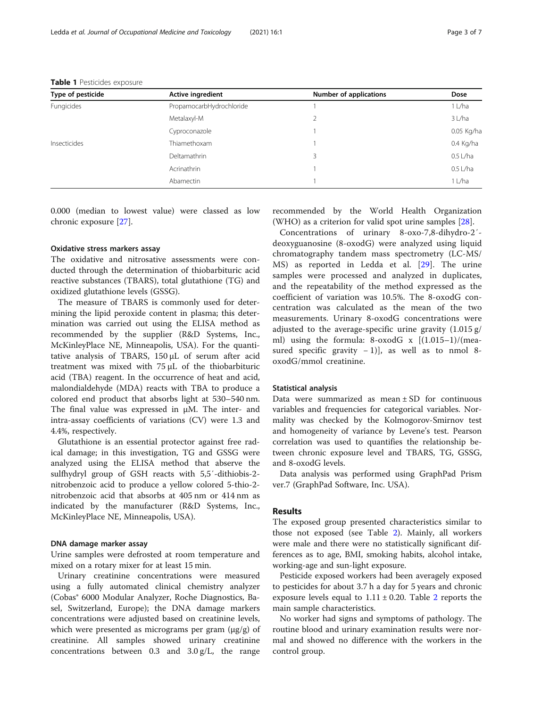| Type of pesticide | Active ingredient        | <b>Number of applications</b> | Dose       |
|-------------------|--------------------------|-------------------------------|------------|
| Fungicides        | PropamocarbHydrochloride | 3                             | 1 L/ha     |
|                   | Metalaxyl-M              |                               | 3 L/ha     |
|                   | Cyproconazole            |                               | 0.05 Kg/ha |
| Insecticides      | Thiamethoxam             |                               | 0.4 Kg/ha  |
|                   | Deltamathrin             |                               | $0.5$ L/ha |
|                   | Acrinathrin              |                               | $0.5$ L/ha |
|                   | Abamectin                |                               | 1 L/ha     |

<span id="page-2-0"></span>Table 1 Pesticides exposure

0.000 (median to lowest value) were classed as low chronic exposure [\[27](#page-5-0)].

# Oxidative stress markers assay

The oxidative and nitrosative assessments were conducted through the determination of thiobarbituric acid reactive substances (TBARS), total glutathione (TG) and oxidized glutathione levels (GSSG).

The measure of TBARS is commonly used for determining the lipid peroxide content in plasma; this determination was carried out using the ELISA method as recommended by the supplier (R&D Systems, Inc., McKinleyPlace NE, Minneapolis, USA). For the quantitative analysis of TBARS, 150 μL of serum after acid treatment was mixed with 75 μL of the thiobarbituric acid (TBA) reagent. In the occurrence of heat and acid, malondialdehyde (MDA) reacts with TBA to produce a colored end product that absorbs light at 530–540 nm. The final value was expressed in μM. The inter- and intra-assay coefficients of variations (CV) were 1.3 and 4.4%, respectively.

Glutathione is an essential protector against free radical damage; in this investigation, TG and GSSG were analyzed using the ELISA method that abserve the sulfhydryl group of GSH reacts with 5,5′-dithiobis-2 nitrobenzoic acid to produce a yellow colored 5-thio-2 nitrobenzoic acid that absorbs at 405 nm or 414 nm as indicated by the manufacturer (R&D Systems, Inc., McKinleyPlace NE, Minneapolis, USA).

## DNA damage marker assay

Urine samples were defrosted at room temperature and mixed on a rotary mixer for at least 15 min.

Urinary creatinine concentrations were measured using a fully automated clinical chemistry analyzer (Cobas® 6000 Modular Analyzer, Roche Diagnostics, Basel, Switzerland, Europe); the DNA damage markers concentrations were adjusted based on creatinine levels, which were presented as micrograms per gram (μg/g) of creatinine. All samples showed urinary creatinine concentrations between 0.3 and 3.0 g/L, the range recommended by the World Health Organization (WHO) as a criterion for valid spot urine samples [\[28](#page-5-0)].

Concentrations of urinary 8-oxo-7,8-dihydro-2′ deoxyguanosine (8-oxodG) were analyzed using liquid chromatography tandem mass spectrometry (LC-MS/ MS) as reported in Ledda et al. [\[29](#page-5-0)]. The urine samples were processed and analyzed in duplicates, and the repeatability of the method expressed as the coefficient of variation was 10.5%. The 8-oxodG concentration was calculated as the mean of the two measurements. Urinary 8-oxodG concentrations were adjusted to the average-specific urine gravity (1.015 g/ ml) using the formula: 8-oxodG  $x$   $[(1.015-1)/(mea$ sured specific gravity  $-1$ )], as well as to nmol 8oxodG/mmol creatinine.

# Statistical analysis

Data were summarized as mean  $\pm$  SD for continuous variables and frequencies for categorical variables. Normality was checked by the Kolmogorov-Smirnov test and homogeneity of variance by Levene's test. Pearson correlation was used to quantifies the relationship between chronic exposure level and TBARS, TG, GSSG, and 8-oxodG levels.

Data analysis was performed using GraphPad Prism ver.7 (GraphPad Software, Inc. USA).

# Results

The exposed group presented characteristics similar to those not exposed (see Table [2](#page-3-0)). Mainly, all workers were male and there were no statistically significant differences as to age, BMI, smoking habits, alcohol intake, working-age and sun-light exposure.

Pesticide exposed workers had been averagely exposed to pesticides for about 3.7 h a day for 5 years and chronic exposure levels equal to  $1.11 \pm 0.20$  $1.11 \pm 0.20$  $1.11 \pm 0.20$ . Table 2 reports the main sample characteristics.

No worker had signs and symptoms of pathology. The routine blood and urinary examination results were normal and showed no difference with the workers in the control group.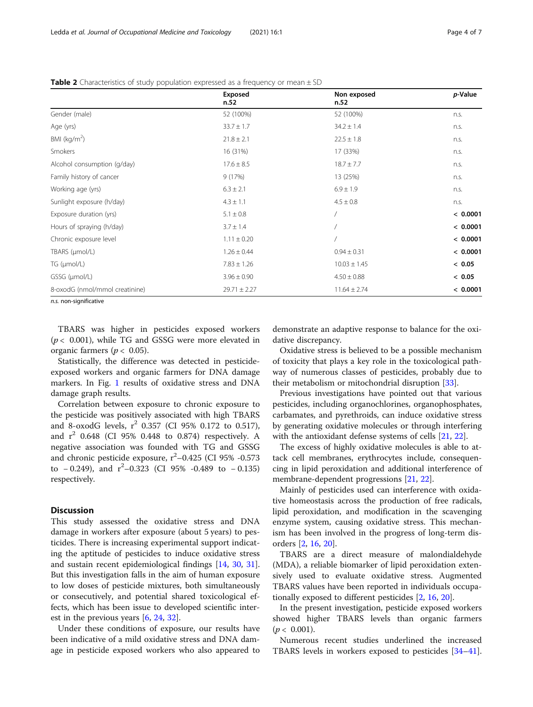|                                | Exposed<br>n.52  | Non exposed<br>n.52 | p-Value  |
|--------------------------------|------------------|---------------------|----------|
| Gender (male)                  | 52 (100%)        | 52 (100%)           | n.s.     |
| Age (yrs)                      | $33.7 \pm 1.7$   | $34.2 \pm 1.4$      | n.s.     |
| BMI ( $kg/m2$ )                | $21.8 \pm 2.1$   | $22.5 \pm 1.8$      | n.s.     |
| Smokers                        | 16 (31%)         | 17 (33%)            | n.s.     |
| Alcohol consumption (g/day)    | $17.6 \pm 8.5$   | $18.7 \pm 7.7$      | n.s.     |
| Family history of cancer       | 9(17%)           | 13 (25%)            | n.s.     |
| Working age (yrs)              | $6.3 \pm 2.1$    | $6.9 \pm 1.9$       | n.s.     |
| Sunlight exposure (h/day)      | $4.3 \pm 1.1$    | $4.5 \pm 0.8$       | n.s.     |
| Exposure duration (yrs)        | $5.1 \pm 0.8$    |                     | < 0.0001 |
| Hours of spraying (h/day)      | $3.7 \pm 1.4$    |                     | < 0.0001 |
| Chronic exposure level         | $1.11 \pm 0.20$  |                     | < 0.0001 |
| TBARS (µmol/L)                 | $1.26 \pm 0.44$  | $0.94 \pm 0.31$     | < 0.0001 |
| $TG$ ( $µmol/L$ )              | $7.83 \pm 1.26$  | $10.03 \pm 1.45$    | < 0.05   |
| GSSG (µmol/L)                  | $3.96 \pm 0.90$  | $4.50 \pm 0.88$     | < 0.05   |
| 8-oxodG (nmol/mmol creatinine) | $29.71 \pm 2.27$ | $11.64 \pm 2.74$    | < 0.0001 |

<span id="page-3-0"></span>**Table 2** Characteristics of study population expressed as a frequency or mean  $\pm$  SD

n.s. non-significative

TBARS was higher in pesticides exposed workers  $(p < 0.001)$ , while TG and GSSG were more elevated in organic farmers ( $p < 0.05$ ).

Statistically, the difference was detected in pesticideexposed workers and organic farmers for DNA damage markers. In Fig. [1](#page-4-0) results of oxidative stress and DNA damage graph results.

Correlation between exposure to chronic exposure to the pesticide was positively associated with high TBARS and 8-oxodG levels,  $r^2$  0.357 (CI 95% 0.172 to 0.517), and  $r^2$  0.648 (CI 95% 0.448 to 0.874) respectively. A negative association was founded with TG and GSSG and chronic pesticide exposure,  $r^2$ –0.425 (CI 95% -0.573 to  $-0.249$ ), and  $r^2-0.323$  (CI 95% -0.489 to  $-0.135$ ) respectively.

# **Discussion**

This study assessed the oxidative stress and DNA damage in workers after exposure (about 5 years) to pesticides. There is increasing experimental support indicating the aptitude of pesticides to induce oxidative stress and sustain recent epidemiological findings [[14,](#page-5-0) [30,](#page-5-0) [31](#page-6-0)]. But this investigation falls in the aim of human exposure to low doses of pesticide mixtures, both simultaneously or consecutively, and potential shared toxicological effects, which has been issue to developed scientific interest in the previous years [[6,](#page-5-0) [24,](#page-5-0) [32\]](#page-6-0).

Under these conditions of exposure, our results have been indicative of a mild oxidative stress and DNA damage in pesticide exposed workers who also appeared to

demonstrate an adaptive response to balance for the oxidative discrepancy.

Oxidative stress is believed to be a possible mechanism of toxicity that plays a key role in the toxicological pathway of numerous classes of pesticides, probably due to their metabolism or mitochondrial disruption [[33](#page-6-0)].

Previous investigations have pointed out that various pesticides, including organochlorines, organophosphates, carbamates, and pyrethroids, can induce oxidative stress by generating oxidative molecules or through interfering with the antioxidant defense systems of cells [\[21,](#page-5-0) [22\]](#page-5-0).

The excess of highly oxidative molecules is able to attack cell membranes, erythrocytes include, consequencing in lipid peroxidation and additional interference of membrane-dependent progressions [\[21,](#page-5-0) [22\]](#page-5-0).

Mainly of pesticides used can interference with oxidative homeostasis across the production of free radicals, lipid peroxidation, and modification in the scavenging enzyme system, causing oxidative stress. This mechanism has been involved in the progress of long-term disorders [[2,](#page-5-0) [16,](#page-5-0) [20](#page-5-0)].

TBARS are a direct measure of malondialdehyde (MDA), a reliable biomarker of lipid peroxidation extensively used to evaluate oxidative stress. Augmented TBARS values have been reported in individuals occupationally exposed to different pesticides [[2,](#page-5-0) [16,](#page-5-0) [20\]](#page-5-0).

In the present investigation, pesticide exposed workers showed higher TBARS levels than organic farmers  $(p < 0.001)$ .

Numerous recent studies underlined the increased TBARS levels in workers exposed to pesticides [[34](#page-6-0)–[41](#page-6-0)].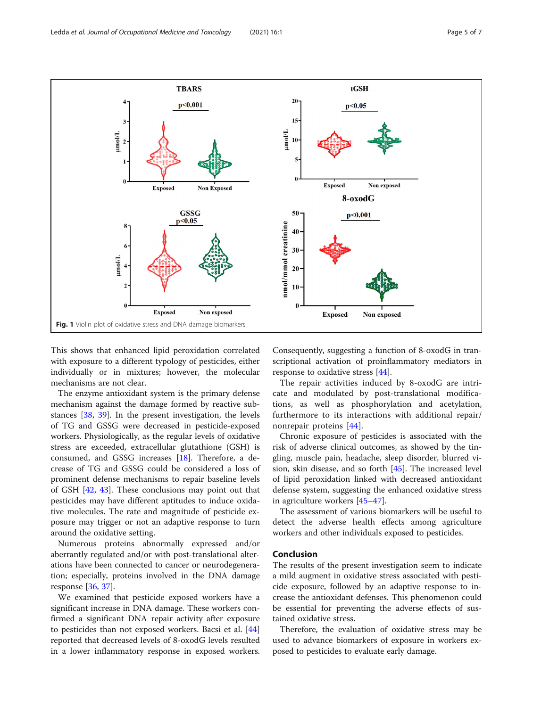<span id="page-4-0"></span>

This shows that enhanced lipid peroxidation correlated with exposure to a different typology of pesticides, either individually or in mixtures; however, the molecular mechanisms are not clear.

The enzyme antioxidant system is the primary defense mechanism against the damage formed by reactive substances [\[38](#page-6-0), [39](#page-6-0)]. In the present investigation, the levels of TG and GSSG were decreased in pesticide-exposed workers. Physiologically, as the regular levels of oxidative stress are exceeded, extracellular glutathione (GSH) is consumed, and GSSG increases [\[18](#page-5-0)]. Therefore, a decrease of TG and GSSG could be considered a loss of prominent defense mechanisms to repair baseline levels of GSH [[42](#page-6-0), [43](#page-6-0)]. These conclusions may point out that pesticides may have different aptitudes to induce oxidative molecules. The rate and magnitude of pesticide exposure may trigger or not an adaptive response to turn around the oxidative setting.

Numerous proteins abnormally expressed and/or aberrantly regulated and/or with post-translational alterations have been connected to cancer or neurodegeneration; especially, proteins involved in the DNA damage response [[36](#page-6-0), [37](#page-6-0)].

We examined that pesticide exposed workers have a significant increase in DNA damage. These workers confirmed a significant DNA repair activity after exposure to pesticides than not exposed workers. Bacsi et al. [[44](#page-6-0)] reported that decreased levels of 8-oxodG levels resulted in a lower inflammatory response in exposed workers. Consequently, suggesting a function of 8-oxodG in transcriptional activation of proinflammatory mediators in response to oxidative stress [\[44\]](#page-6-0).

The repair activities induced by 8-oxodG are intricate and modulated by post-translational modifications, as well as phosphorylation and acetylation, furthermore to its interactions with additional repair/ nonrepair proteins [[44\]](#page-6-0).

Chronic exposure of pesticides is associated with the risk of adverse clinical outcomes, as showed by the tingling, muscle pain, headache, sleep disorder, blurred vision, skin disease, and so forth [[45\]](#page-6-0). The increased level of lipid peroxidation linked with decreased antioxidant defense system, suggesting the enhanced oxidative stress in agriculture workers [\[45](#page-6-0)–[47\]](#page-6-0).

The assessment of various biomarkers will be useful to detect the adverse health effects among agriculture workers and other individuals exposed to pesticides.

# Conclusion

The results of the present investigation seem to indicate a mild augment in oxidative stress associated with pesticide exposure, followed by an adaptive response to increase the antioxidant defenses. This phenomenon could be essential for preventing the adverse effects of sustained oxidative stress.

Therefore, the evaluation of oxidative stress may be used to advance biomarkers of exposure in workers exposed to pesticides to evaluate early damage.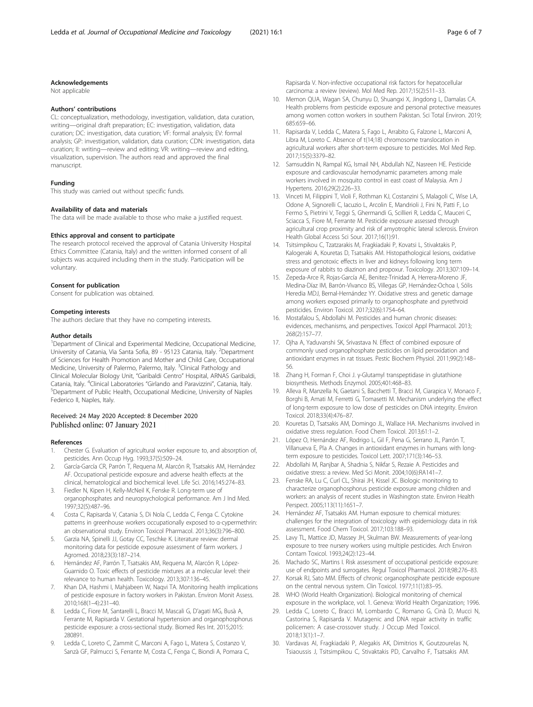# <span id="page-5-0"></span>Acknowledgements

Not applicable

#### Authors' contributions

CL: conceptualization, methodology, investigation, validation, data curation, writing—original draft preparation; EC: investigation, validation, data curation; DC: investigation, data curation; VF: formal analysis; EV: formal analysis; GP: investigation, validation, data curation; CDN: investigation, data curation; II: writing—review and editing; VR: writing—review and editing, visualization, supervision. The authors read and approved the final manuscript.

#### Funding

This study was carried out without specific funds.

## Availability of data and materials

The data will be made available to those who make a justified request.

#### Ethics approval and consent to participate

The research protocol received the approval of Catania University Hospital Ethics Committee (Catania, Italy) and the written informed consent of all subjects was acquired including them in the study. Participation will be voluntary.

#### Consent for publication

Consent for publication was obtained.

#### Competing interests

The authors declare that they have no competing interests.

#### Author details

<sup>1</sup>Department of Clinical and Experimental Medicine, Occupational Medicine, University of Catania, Via Santa Sofia, 89 - 95123 Catania, Italy. <sup>2</sup>Department of Sciences for Health Promotion and Mother and Child Care, Occupational Medicine, University of Palermo, Palermo, Italy. <sup>3</sup>Clinical Pathology and Clinical Molecular Biology Unit, "Garibaldi Centro" Hospital, ARNAS Garibaldi, Catania, Italy. <sup>4</sup>Clinical Laboratories "Girlando and Paravizzini", Catania, Italy.<br><sup>5</sup>Dopartment of Public Health, Occupational Medicine, University of Naple Department of Public Health, Occupational Medicine, University of Naples Federico II, Naples, Italy.

#### Received: 24 May 2020 Accepted: 8 December 2020 Published online: 07 January 2021

#### References

- 1. Chester G. Evaluation of agricultural worker exposure to, and absorption of, pesticides. Ann Occup Hyg. 1993;37(5):509–24.
- 2. García-García CR, Parrón T, Requena M, Alarcón R, Tsatsakis AM, Hernández AF. Occupational pesticide exposure and adverse health effects at the clinical, hematological and biochemical level. Life Sci. 2016;145:274–83.
- 3. Fiedler N, Kipen H, Kelly-McNeil K, Fenske R. Long-term use of organophosphates and neuropsychological performance. Am J Ind Med. 1997;32(5):487–96.
- 4. Costa C, Rapisarda V, Catania S, Di Nola C, Ledda C, Fenga C. Cytokine patterns in greenhouse workers occupationally exposed to α-cypermethrin: an observational study. Environ Toxicol Pharmacol. 2013;36(3):796–800.
- 5. Garzia NA, Spinelli JJ, Gotay CC, Teschke K. Literature review: dermal monitoring data for pesticide exposure assessment of farm workers. J Agromed. 2018;23(3):187–214.
- Hernández AF, Parrón T, Tsatsakis AM, Requena M, Alarcón R, López-Guarnido O. Toxic effects of pesticide mixtures at a molecular level: their relevance to human health. Toxicology. 2013;307:136–45.
- 7. Khan DA, Hashmi I, Mahjabeen W, Naqvi TA. Monitoring health implications of pesticide exposure in factory workers in Pakistan. Environ Monit Assess. 2010;168(1–4):231–40.
- Ledda C, Fiore M, Santarelli L, Bracci M, Mascali G, D'agati MG, Busà A, Ferrante M, Rapisarda V. Gestational hypertension and organophosphorus pesticide exposure: a cross-sectional study. Biomed Res Int. 2015;2015: 280891.
- Ledda C, Loreto C, Zammit C, Marconi A, Fago L, Matera S, Costanzo V, Sanzà GF, Palmucci S, Ferrante M, Costa C, Fenga C, Biondi A, Pomara C,

Rapisarda V. Non-infective occupational risk factors for hepatocellular carcinoma: a review (review). Mol Med Rep. 2017;15(2):511–33.

- 10. Memon QUA, Wagan SA, Chunyu D, Shuangxi X, Jingdong L, Damalas CA. Health problems from pesticide exposure and personal protective measures among women cotton workers in southern Pakistan. Sci Total Environ. 2019; 685:659–66.
- 11. Rapisarda V, Ledda C, Matera S, Fago L, Arrabito G, Falzone L, Marconi A, Libra M, Loreto C. Absence of t(14;18) chromosome translocation in agricultural workers after short-term exposure to pesticides. Mol Med Rep. 2017;15(5):3379–82.
- 12. Samsuddin N, Rampal KG, Ismail NH, Abdullah NZ, Nasreen HE. Pesticide exposure and cardiovascular hemodynamic parameters among male workers involved in mosquito control in east coast of Malaysia. Am J Hypertens. 2016;29(2):226–33.
- 13. Vinceti M, Filippini T, Violi F, Rothman KJ, Costanzini S, Malagoli C, Wise LA, Odone A, Signorelli C, Iacuzio L, Arcolin E, Mandrioli J, Fini N, Patti F, Lo Fermo S, Pietrini V, Teggi S, Ghermandi G, Scillieri R, Ledda C, Mauceri C, Sciacca S, Fiore M, Ferrante M. Pesticide exposure assessed through agricultural crop proximity and risk of amyotrophic lateral sclerosis. Environ Health Global Access Sci Sour. 2017;16(1):91.
- 14. Tsitsimpikou C, Tzatzarakis M, Fragkiadaki P, Kovatsi L, Stivaktakis P, Kalogeraki A, Kouretas D, Tsatsakis AM. Histopathological lesions, oxidative stress and genotoxic effects in liver and kidneys following long term exposure of rabbits to diazinon and propoxur. Toxicology. 2013;307:109–14.
- 15. Zepeda-Arce R, Rojas-García AE, Benitez-Trinidad A, Herrera-Moreno JF, Medina-Díaz IM, Barrón-Vivanco BS, Villegas GP, Hernández-Ochoa I, Sólis Heredia MDJ, Bernal-Hernández YY. Oxidative stress and genetic damage among workers exposed primarily to organophosphate and pyrethroid pesticides. Environ Toxicol. 2017;32(6):1754–64.
- 16. Mostafalou S, Abdollahi M. Pesticides and human chronic diseases: evidences, mechanisms, and perspectives. Toxicol Appl Pharmacol. 2013; 268(2):157–77.
- 17. Ojha A, Yaduvanshi SK, Srivastava N. Effect of combined exposure of commonly used organophosphate pesticides on lipid peroxidation and antioxidant enzymes in rat tissues. Pestic Biochem Physiol. 2011;99(2):148– 56.
- 18. Zhang H, Forman F, Choi J. γ-Glutamyl transpeptidase in glutathione biosynthesis. Methods Enzymol. 2005;401:468–83.
- Alleva R, Manzella N, Gaetani S, Bacchetti T, Bracci M, Ciarapica V, Monaco F, Borghi B, Amati M, Ferretti G, Tomasetti M. Mechanism underlying the effect of long-term exposure to low dose of pesticides on DNA integrity. Environ Toxicol. 2018;33(4):476–87.
- 20. Kouretas D, Tsatsakis AM, Domingo JL, Wallace HA. Mechanisms involved in oxidative stress regulation. Food Chem Toxicol. 2013;61:1–2.
- 21. López O, Hernández AF, Rodrigo L, Gil F, Pena G, Serrano JL, Parrón T, Villanueva E, Pla A. Changes in antioxidant enzymes in humans with longterm exposure to pesticides. Toxicol Lett. 2007;171(3):146–53.
- 22. Abdollahi M, Ranjbar A, Shadnia S, Nikfar S, Rezaie A. Pesticides and oxidative stress: a review. Med Sci Monit. 2004;10(6):RA141–7.
- 23. Fenske RA, Lu C, Curl CL, Shirai JH, Kissel JC. Biologic monitoring to characterize organophosphorus pesticide exposure among children and workers: an analysis of recent studies in Washington state. Environ Health Perspect. 2005;113(11):1651–7.
- 24. Hernández AF, Tsatsakis AM. Human exposure to chemical mixtures: challenges for the integration of toxicology with epidemiology data in risk assessment. Food Chem Toxicol. 2017;103:188–93.
- 25. Lavy TL, Mattice JD, Massey JH, Skulman BW. Measurements of year-long exposure to tree nursery workers using multiple pesticides. Arch Environ Contam Toxicol. 1993;24(2):123–44.
- 26. Machado SC, Martins I. Risk assessment of occupational pesticide exposure: use of endpoints and surrogates. Regul Toxicol Pharmacol. 2018;98:276–83.
- 27. Korsak RJ, Sato MM. Effects of chronic organophosphate pesticide exposure on the central nervous system. Clin Toxicol. 1977;11(1):83–95.
- 28. WHO (World Health Organization). Biological monitoring of chemical exposure in the workplace, vol. 1. Geneva: World Health Organization; 1996.
- 29. Ledda C, Loreto C, Bracci M, Lombardo C, Romano G, Cinà D, Mucci N, Castorina S, Rapisarda V. Mutagenic and DNA repair activity in traffic policemen: A case-crossover study. J Occup Med Toxicol. 2018;13(1):1–7.
- 30. Vardavas AI, Fragkiadaki P, Alegakis AK, Dimitrios K, Goutzourelas N, Tsiaoussis J, Tsitsimpikou C, Stivaktakis PD, Carvalho F, Tsatsakis AM.